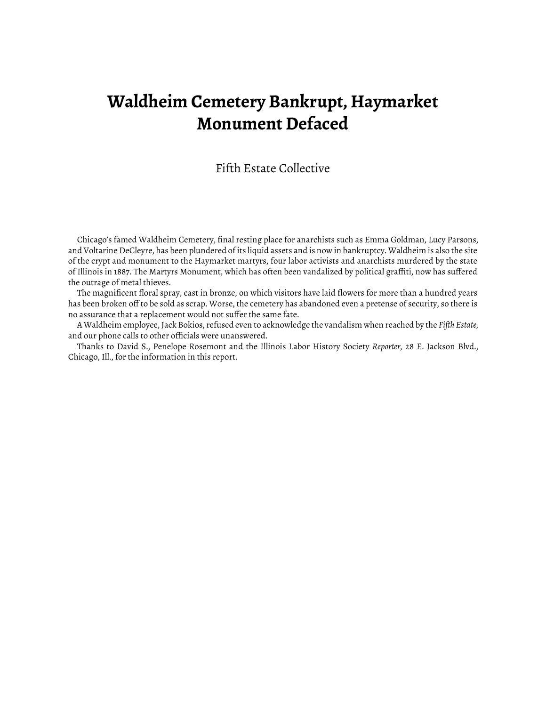## **Waldheim Cemetery Bankrupt, Haymarket Monument Defaced**

## Fifth Estate Collective

Chicago's famed Waldheim Cemetery, final resting place for anarchists such as Emma Goldman, Lucy Parsons, and Voltarine DeCleyre, has been plundered of its liquid assets and is now in bankruptcy. Waldheim is also the site of the crypt and monument to the Haymarket martyrs, four labor activists and anarchists murdered by the state of Illinois in 1887. The Martyrs Monument, which has often been vandalized by political graffiti, now has suffered the outrage of metal thieves.

The magnificent floral spray, cast in bronze, on which visitors have laid flowers for more than a hundred years has been broken off to be sold as scrap. Worse, the cemetery has abandoned even a pretense of security, so there is no assurance that a replacement would not suffer the same fate.

A Waldheim employee, Jack Bokios, refused even to acknowledge the vandalism when reached by the *Fiǡth Estate,* and our phone calls to other officials were unanswered.

Thanks to David S., Penelope Rosemont and the Illinois Labor History Society *Reporter*, 28 E. Jackson Blvd., Chicago, Ill., for the information in this report.